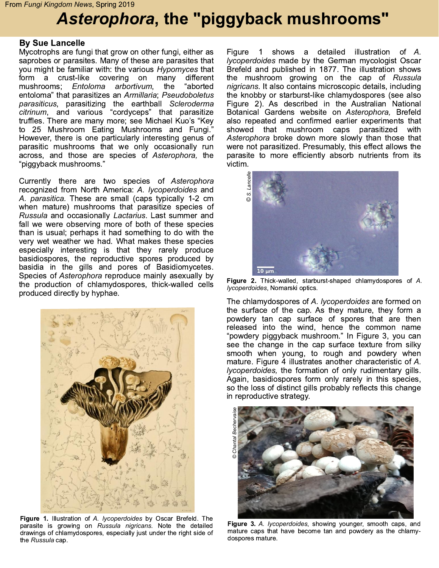## Asterophora, the "piggyback mushrooms"

## **By Sue Lancelle**

Mycotrophs are fungi that grow on other fungi, either as saprobes or parasites. Many of these are parasites that you might be familiar with: the various Hypomyces that form a crust-like covering on many different mushrooms; Entoloma arbortivum, the "aborted entoloma" that parasitizes an Armillaria; Pseudoboletus parasiticus, parasitizing the earthball Scleroderma<br>citrinum, and various "cordyceps" that parasitize truffles. There are many more; see Michael Kuo's "Key to 25 Mushroom Eating Mushrooms and Fungi." However, there is one particularly interesting genus of parasitic mushrooms that we only occasionally run across, and those are species of Asterophora. the "piggyback mushrooms."

Currently there are two species of Asterophora recognized from North America: A. lycoperdoides and A. parasitica. These are small (caps typically 1-2 cm when mature) mushrooms that parasitize species of Russula and occasionally Lactarius. Last summer and fall we were observing more of both of these species than is usual; perhaps it had something to do with the very wet weather we had. What makes these species especially interesting is that they rarely produce basidiospores, the reproductive spores produced by basidia in the gills and pores of Basidiomycetes. Species of Asterophora reproduce mainly asexually by the production of chlamydospores, thick-walled cells produced directly by hyphae.



Figure 1. Illustration of A. Iycoperdoides by Oscar Brefeld. The parasite is growing on Russula nigricans. Note the detailed drawings of chlamydospores, especially just under the right side of the Russula cap.

1 shows a detailed illustration of A. Figure lycoperdoides made by the German mycologist Oscar Brefeld and published in 1877. The illustration shows the mushroom growing on the cap of Russula nigricans. It also contains microscopic details, including the knobby or starburst-like chlamydospores (see also Figure 2). As described in the Australian National Botanical Gardens website on Asterophora, Brefeld also repeated and confirmed earlier experiments that showed that mushroom caps parasitized with Asterophora broke down more slowly than those that were not parasitized. Presumably, this effect allows the parasite to more efficiently absorb nutrients from its victim.



Figure 2. Thick-walled, starburst-shaped chlamydospores of A. lycoperdoides, Nomarski optics.

The chlamydospores of A. lycoperdoides are formed on the surface of the cap. As they mature, they form a powdery tan cap surface of spores that are then released into the wind, hence the common name "powdery piggyback mushroom." In Figure 3, you can see the change in the cap surface texture from silky smooth when young, to rough and powdery when mature. Figure 4 illustrates another characteristic of A. lycoperdoides, the formation of only rudimentary gills. Again, basidiospores form only rarely in this species, so the loss of distinct gills probably reflects this change in reproductive strategy.



Figure 3. A. lycoperdoides, showing younger, smooth caps, and mature caps that have become tan and powdery as the chlamydospores mature.